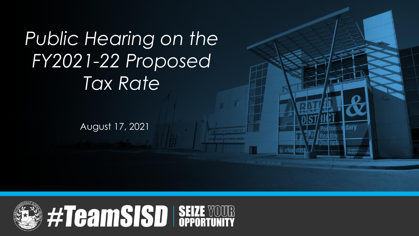# *Public Hearing on the FY2021-22 Proposed Tax Rate*

August 17, 2021

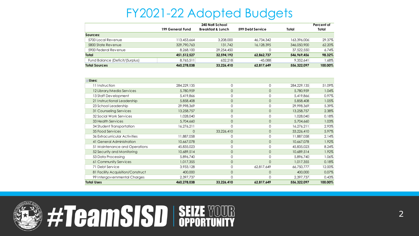#### FY2021-22 Adopted Budgets

|                                 | 240 Natl School<br>599 Debt Service<br>199 General Fund<br><b>Breakfast &amp; Lunch</b> |            |            | Total       | Percent of<br>Total |
|---------------------------------|-----------------------------------------------------------------------------------------|------------|------------|-------------|---------------------|
| Sources:                        |                                                                                         |            |            |             |                     |
| 5700 Local Revenue              | 113.453.664                                                                             | 3.208.000  | 46.734.342 | 163,396,006 | 29.37%              |
| 5800 State Revenue              | 329,790,763                                                                             | 131,742    | 16,128,395 | 346,050,900 | 62.20%              |
| 5900 Federal Revenue            | 8.268.100                                                                               | 29.254.450 |            | 37,522,550  | 6.74%               |
| Total                           | 451.512.527                                                                             | 32.594.192 | 62.862.737 | 546.969.456 | 98.32%              |
| Fund Balance (Deficit/(Surplus) | 8.765.511                                                                               | 632.218    | $-45.088$  | 9.352.641   | .68%                |
| <b>Total Sources</b>            | 460.278.038                                                                             | 33.226.410 | 62.817.649 | 556.322.097 | 100.00%             |

| <b>⊟Uses:</b>                     |             |              |              |             |         |
|-----------------------------------|-------------|--------------|--------------|-------------|---------|
| 11 Instruction                    | 284.229,135 | 0            | 0            | 284.229.135 | 51.09%  |
| 12 Library/Media Services         | 5,780,959   | 0            | $\circ$      | 5,780,959   | 1.04%   |
| 13 Staff Development              | 5,419,866   | 0            | $\Omega$     | 5,419,866   | 0.97%   |
| 21 Instructional Leadership       | 5,858,408   | $\mathbf{0}$ | $\circ$      | 5,858,408   | 1.05%   |
| 23 School Leadership              | 29.998.369  | $\Omega$     | $\Omega$     | 29,998,369  | 5.39%   |
| 31 Counseling Services            | 13,258,757  | $\mathbf{0}$ | $\circ$      | 13,258,757  | 2.38%   |
| 32 Social Work Services           | 1,028,040   | 0            | $\Omega$     | 1,028,040   | 0.18%   |
| 33 Health Services                | 5,704,660   | $\mathbf{0}$ | $\mathbf{0}$ | 5,704,660   | 1.03%   |
| 34 Student Transportation         | 16,276,211  | $\Omega$     | $\Omega$     | 16,276,211  | 2.93%   |
| 35 Food Services                  | $\mathbf 0$ | 33,226,410   | $\circ$      | 33,226,410  | 5.97%   |
| 36 Extracurricular Activities     | 11,887,058  |              | $\Omega$     | 11,887,058  | 2.14%   |
| 41 General Administration         | 10,667,078  | 0            | $\mathbf{0}$ | 10,667,078  | 1.92%   |
| 51 Maintenance and Operations     | 45,835,023  | 0            | $\Omega$     | 45,835,023  | 8.24%   |
| 52 Security and Monitoring        | 10.689.514  | $\mathbf{0}$ | $\circ$      | 10.689.514  | 1.92%   |
| 53 Data Processing                | 5,896,740   | 0            | $\Omega$     | 5,896,740   | 1.06%   |
| 61 Community Services             | 1.017.355   | 0            | $\Omega$     | 1,017,355   | 0.18%   |
| 71 Debt Service                   | 3,933,128   | 0            | 62.817.649   | 66,750,777  | 12.00%  |
| 81 Facility Acquisition/Construct | 400,000     | $\mathbf{0}$ | $\circ$      | 400,000     | 0.07%   |
| 99 Intergovernmental Charges      | 2,397,737   | 0            | $\Omega$     | 2,397,737   | 0.43%   |
| <b>Total Uses</b>                 | 460,278,038 | 33,226,410   | 62,817,649   | 556,322,097 | 100.00% |



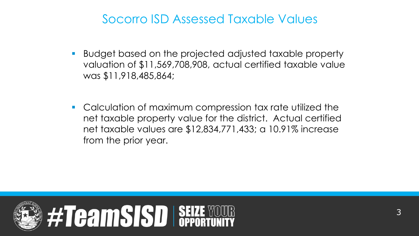#### Socorro ISD Assessed Taxable Values

- Budget based on the projected adjusted taxable property valuation of \$11,569,708,908, actual certified taxable value was \$11,918,485,864;
- Calculation of maximum compression tax rate utilized the net taxable property value for the district. Actual certified net taxable values are \$12,834,771,433; a 10.91% increase from the prior year.

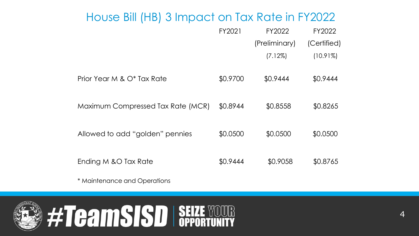#### House Bill (HB) 3 Impact on Tax Rate in FY2022

|                                   | FY2021   | FY2022        | FY2022      |
|-----------------------------------|----------|---------------|-------------|
|                                   |          | (Preliminary) | (Certified) |
|                                   |          | $(7.12\%)$    | $(10.91\%)$ |
| Prior Year M & O* Tax Rate        | \$0.9700 | \$0.9444      | \$0.9444    |
| Maximum Compressed Tax Rate (MCR) | \$0.8944 | \$0.8558      | \$0.8265    |
| Allowed to add "golden" pennies   | \$0.0500 | \$0.0500      | \$0.0500    |
| Ending M & O Tax Rate             | \$0.9444 | \$0.9058      | \$0.8765    |

\* Maintenance and Operations

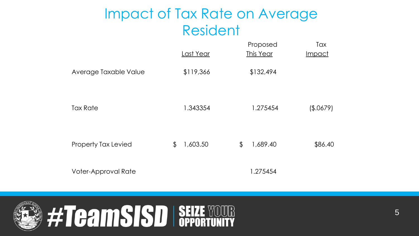## Impact of Tax Rate on Average Resident

|                       | Last Year      | Proposed<br>This Year | Tax<br><b>Impact</b> |
|-----------------------|----------------|-----------------------|----------------------|
| Average Taxable Value | \$119,366      | \$132,494             |                      |
| <b>Tax Rate</b>       | 1.343354       | 1.275454              | (\$.0679)            |
| Property Tax Levied   | \$<br>1,603.50 | \$<br>1,689.40        | \$86.40              |
| Voter-Approval Rate   |                | 1.275454              |                      |

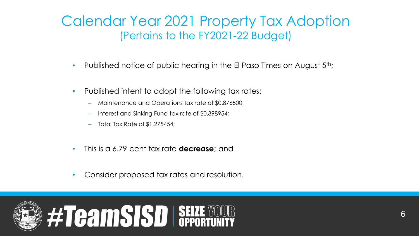#### Calendar Year 2021 Property Tax Adoption (Pertains to the FY2021-22 Budget)

- Published notice of public hearing in the El Paso Times on August  $5<sup>th</sup>$ ;
- Published intent to adopt the following tax rates:
	- Maintenance and Operations tax rate of \$0.876500;
	- Interest and Sinking Fund tax rate of \$0.398954;
	- Total Tax Rate of \$1.275454;
- This is a 6.79 cent tax rate **decrease**; and
- Consider proposed tax rates and resolution.

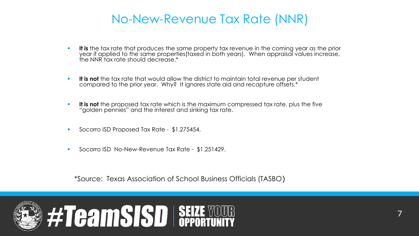#### No-New-Revenue Tax Rate (NNR)

- It is the tax rate that produces the same property tax revenue in the coming year as the prior year if applied to the same properties(taxed in both years). When appraisal values increase, the NNR tax rate should decrease.\*
- **.** It is not the tax rate that would allow the district to maintain total revenue per student compared to the prior year. Why? It ignores state aid and recapture offsets.\*
- It is not the proposed tax rate which is the maximum compressed tax rate, plus the five "golden pennies" and the interest and sinking tax rate.
- Socorro ISD Proposed Tax Rate \$1.275454.
- Socorro ISD No-New-Revenue Tax Rate \$1.251429.

\*Source: Texas Association of School Business Officials (TASBO)

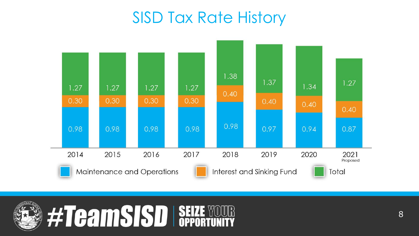# SISD Tax Rate History



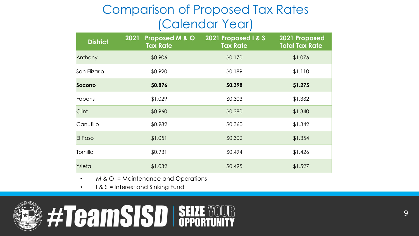#### Comparison of Proposed Tax Rates (Calendar Year)

| <b>District</b> | 2021<br>Proposed M & O<br><b>Tax Rate</b> | 2021 Proposed I & S<br><b>Tax Rate</b> | 2021 Proposed<br><b>Total Tax Rate</b> |
|-----------------|-------------------------------------------|----------------------------------------|----------------------------------------|
| Anthony         | \$0.906                                   | \$0.170                                | \$1.076                                |
| San Elizario    | \$0.920                                   | \$0.189                                | \$1.110                                |
| <b>Socorro</b>  | \$0.876                                   | \$0.398                                | \$1.275                                |
| Fabens          | \$1.029                                   | \$0.303                                | \$1.332                                |
| Clint           | \$0.960                                   | \$0.380                                | \$1.340                                |
| Canutillo       | \$0.982                                   | \$0.360                                | \$1.342                                |
| El Paso         | \$1.051                                   | \$0.302                                | \$1.354                                |
| Tornillo        | \$0.931                                   | \$0.494                                | \$1.426                                |
| Ysleta          | \$1.032                                   | \$0.495                                | \$1.527                                |

- M & O = Maintenance and Operations
- I & S = Interest and Sinking Fund